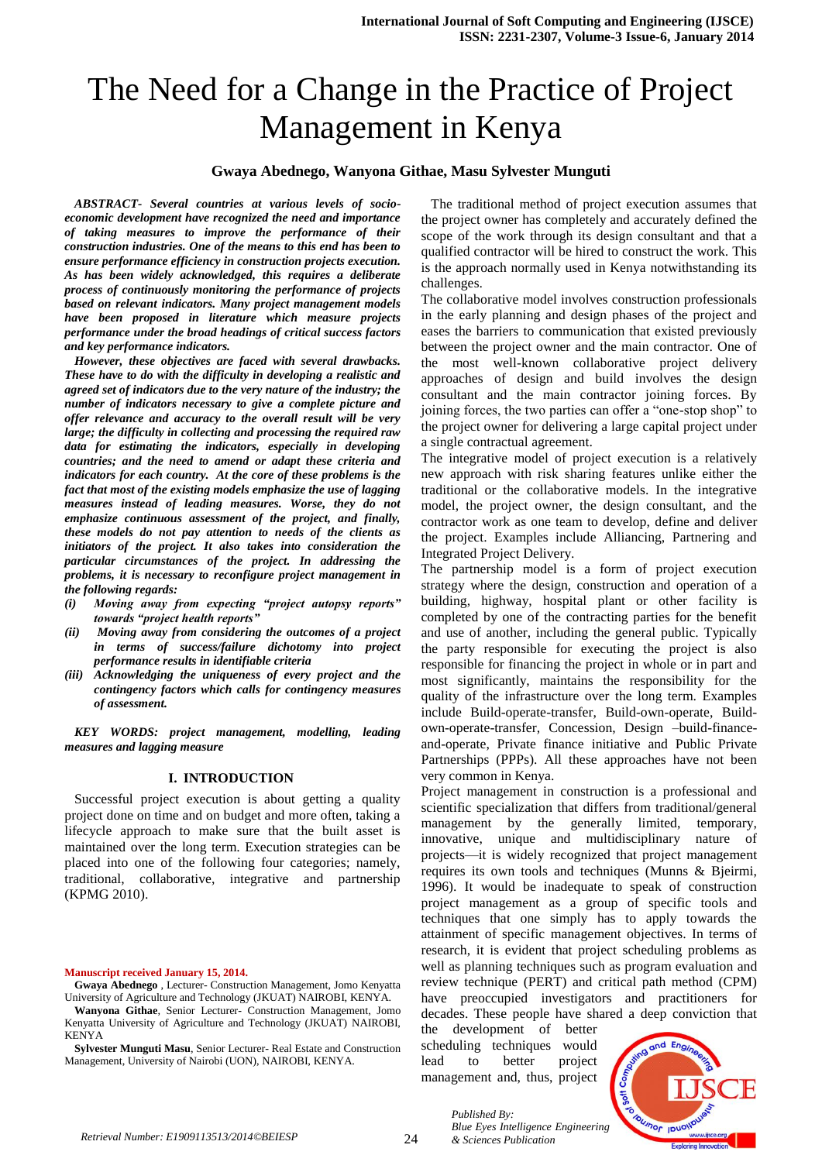# The Need for a Change in the Practice of Project Management in Kenya

#### **Gwaya Abednego, Wanyona Githae, Masu Sylvester Munguti**

*ABSTRACT- Several countries at various levels of socioeconomic development have recognized the need and importance of taking measures to improve the performance of their construction industries. One of the means to this end has been to ensure performance efficiency in construction projects execution. As has been widely acknowledged, this requires a deliberate process of continuously monitoring the performance of projects based on relevant indicators. Many project management models have been proposed in literature which measure projects performance under the broad headings of critical success factors and key performance indicators.* 

*However, these objectives are faced with several drawbacks. These have to do with the difficulty in developing a realistic and agreed set of indicators due to the very nature of the industry; the number of indicators necessary to give a complete picture and offer relevance and accuracy to the overall result will be very large; the difficulty in collecting and processing the required raw data for estimating the indicators, especially in developing countries; and the need to amend or adapt these criteria and indicators for each country. At the core of these problems is the fact that most of the existing models emphasize the use of lagging measures instead of leading measures. Worse, they do not emphasize continuous assessment of the project, and finally, these models do not pay attention to needs of the clients as initiators of the project. It also takes into consideration the particular circumstances of the project. In addressing the problems, it is necessary to reconfigure project management in the following regards:* 

- *(i) Moving away from expecting "project autopsy reports" towards "project health reports"*
- *(ii) Moving away from considering the outcomes of a project in terms of success/failure dichotomy into project performance results in identifiable criteria*
- *(iii) Acknowledging the uniqueness of every project and the contingency factors which calls for contingency measures of assessment.*

*KEY WORDS: project management, modelling, leading measures and lagging measure*

### **I. INTRODUCTION**

Successful project execution is about getting a quality project done on time and on budget and more often, taking a lifecycle approach to make sure that the built asset is maintained over the long term. Execution strategies can be placed into one of the following four categories; namely, traditional, collaborative, integrative and partnership (KPMG 2010).

#### **Manuscript received January 15, 2014.**

The traditional method of project execution assumes that the project owner has completely and accurately defined the scope of the work through its design consultant and that a qualified contractor will be hired to construct the work. This is the approach normally used in Kenya notwithstanding its challenges.

The collaborative model involves construction professionals in the early planning and design phases of the project and eases the barriers to communication that existed previously between the project owner and the main contractor. One of the most well-known collaborative project delivery approaches of design and build involves the design consultant and the main contractor joining forces. By joining forces, the two parties can offer a "one-stop shop" to the project owner for delivering a large capital project under a single contractual agreement.

The integrative model of project execution is a relatively new approach with risk sharing features unlike either the traditional or the collaborative models. In the integrative model, the project owner, the design consultant, and the contractor work as one team to develop, define and deliver the project. Examples include Alliancing, Partnering and Integrated Project Delivery.

The partnership model is a form of project execution strategy where the design, construction and operation of a building, highway, hospital plant or other facility is completed by one of the contracting parties for the benefit and use of another, including the general public. Typically the party responsible for executing the project is also responsible for financing the project in whole or in part and most significantly, maintains the responsibility for the quality of the infrastructure over the long term. Examples include Build-operate-transfer, Build-own-operate, Buildown-operate-transfer, Concession, Design –build-financeand-operate, Private finance initiative and Public Private Partnerships (PPPs). All these approaches have not been very common in Kenya.

Project management in construction is a professional and scientific specialization that differs from traditional/general management by the generally limited, temporary, innovative, unique and multidisciplinary nature of projects—it is widely recognized that project management requires its own tools and techniques (Munns & Bjeirmi, 1996). It would be inadequate to speak of construction project management as a group of specific tools and techniques that one simply has to apply towards the attainment of specific management objectives. In terms of research, it is evident that project scheduling problems as well as planning techniques such as program evaluation and review technique (PERT) and critical path method (CPM) have preoccupied investigators and practitioners for decades. These people have shared a deep conviction that

the development of better scheduling techniques would lead to better project management and, thus, project



*Published By: Blue Eyes Intelligence Engineering & Sciences Publication* 

**Gwaya Abednego** , Lecturer- Construction Management, Jomo Kenyatta University of Agriculture and Technology (JKUAT) NAIROBI, KENYA.

**Wanyona Githae**, Senior Lecturer- Construction Management, Jomo Kenyatta University of Agriculture and Technology (JKUAT) NAIROBI, KENYA

**Sylvester Munguti Masu**, Senior Lecturer- Real Estate and Construction Management, University of Nairobi (UON), NAIROBI, KENYA.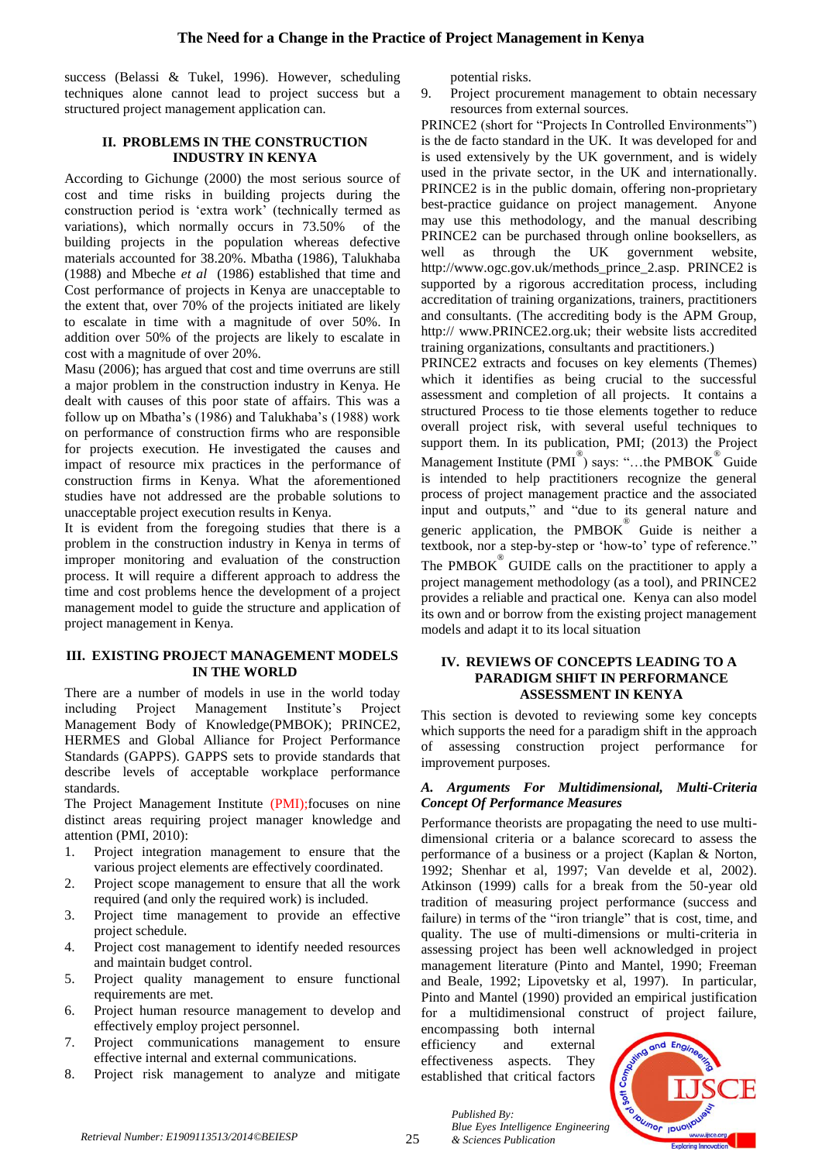success (Belassi & Tukel, 1996). However, scheduling techniques alone cannot lead to project success but a structured project management application can.

## **II. PROBLEMS IN THE CONSTRUCTION INDUSTRY IN KENYA**

According to Gichunge (2000) the most serious source of cost and time risks in building projects during the construction period is 'extra work' (technically termed as variations), which normally occurs in 73.50% of the building projects in the population whereas defective materials accounted for 38.20%. Mbatha (1986), Talukhaba (1988) and Mbeche *et al* (1986) established that time and Cost performance of projects in Kenya are unacceptable to the extent that, over 70% of the projects initiated are likely to escalate in time with a magnitude of over 50%. In addition over 50% of the projects are likely to escalate in cost with a magnitude of over 20%.

Masu (2006); has argued that cost and time overruns are still a major problem in the construction industry in Kenya. He dealt with causes of this poor state of affairs. This was a follow up on Mbatha's (1986) and Talukhaba's (1988) work on performance of construction firms who are responsible for projects execution. He investigated the causes and impact of resource mix practices in the performance of construction firms in Kenya. What the aforementioned studies have not addressed are the probable solutions to unacceptable project execution results in Kenya.

It is evident from the foregoing studies that there is a problem in the construction industry in Kenya in terms of improper monitoring and evaluation of the construction process. It will require a different approach to address the time and cost problems hence the development of a project management model to guide the structure and application of project management in Kenya.

## **III. EXISTING PROJECT MANAGEMENT MODELS IN THE WORLD**

There are a number of models in use in the world today including Project Management Institute's Project Management Body of Knowledge(PMBOK); PRINCE2, HERMES and Global Alliance for Project Performance Standards (GAPPS). GAPPS sets to provide standards that describe levels of acceptable workplace performance standards.

The Project Management Institute (PMI);focuses on nine distinct areas requiring project manager knowledge and attention (PMI, 2010):

- 1. Project integration management to ensure that the various project elements are effectively coordinated.
- 2. Project scope management to ensure that all the work required (and only the required work) is included.
- 3. Project time management to provide an effective project schedule.
- 4. Project cost management to identify needed resources and maintain budget control.
- 5. Project quality management to ensure functional requirements are met.
- 6. Project human resource management to develop and effectively employ project personnel.
- 7. Project communications management to ensure effective internal and external communications.
- 8. Project risk management to analyze and mitigate

potential risks.

9. Project procurement management to obtain necessary resources from external sources.

PRINCE2 (short for "Projects In Controlled Environments") is the de facto standard in the UK. It was developed for and is used extensively by the UK government, and is widely used in the private sector, in the UK and internationally. PRINCE2 is in the public domain, offering non-proprietary best-practice guidance on project management. Anyone may use this methodology, and the manual describing PRINCE2 can be purchased through online booksellers, as well as through the UK government website, http://www.ogc.gov.uk/methods\_prince\_2.asp. PRINCE2 is supported by a rigorous accreditation process, including accreditation of training organizations, trainers, practitioners and consultants. (The accrediting body is the APM Group, http:// www.PRINCE2.org.uk; their website lists accredited training organizations, consultants and practitioners.)

PRINCE2 extracts and focuses on key elements (Themes) which it identifies as being crucial to the successful assessment and completion of all projects. It contains a structured Process to tie those elements together to reduce overall project risk, with several useful techniques to support them. In its publication, PMI; (2013) the Project Management Institute (PMI<sup>®</sup>) says: "...the PMBOK<sup>®</sup> Guide is intended to help practitioners recognize the general process of project management practice and the associated input and outputs," and "due to its general nature and generic application, the PMBOK ® Guide is neither a textbook, nor a step-by-step or 'how-to' type of reference." The  $PMBOK^{\circledR}$  GUIDE calls on the practitioner to apply a project management methodology (as a tool), and PRINCE2 provides a reliable and practical one. Kenya can also model its own and or borrow from the existing project management models and adapt it to its local situation

### **IV. REVIEWS OF CONCEPTS LEADING TO A PARADIGM SHIFT IN PERFORMANCE ASSESSMENT IN KENYA**

This section is devoted to reviewing some key concepts which supports the need for a paradigm shift in the approach of assessing construction project performance for improvement purposes.

## *A. Arguments For Multidimensional, Multi-Criteria Concept Of Performance Measures*

Performance theorists are propagating the need to use multidimensional criteria or a balance scorecard to assess the performance of a business or a project (Kaplan & Norton, 1992; Shenhar et al, 1997; Van develde et al, 2002). Atkinson (1999) calls for a break from the 50-year old tradition of measuring project performance (success and failure) in terms of the "iron triangle" that is cost, time, and quality. The use of multi-dimensions or multi-criteria in assessing project has been well acknowledged in project management literature (Pinto and Mantel, 1990; Freeman and Beale, 1992; Lipovetsky et al, 1997). In particular, Pinto and Mantel (1990) provided an empirical justification for a multidimensional construct of project failure,

encompassing both internal efficiency and external effectiveness aspects. They established that critical factors

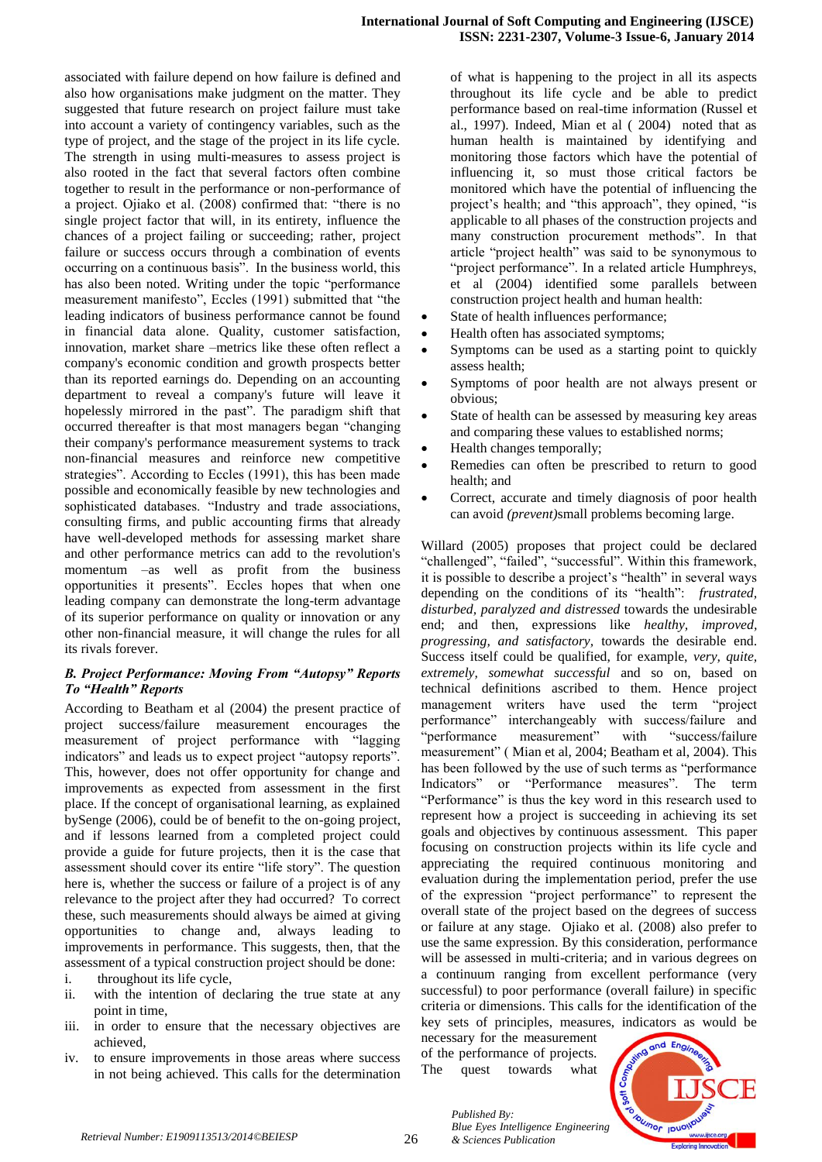associated with failure depend on how failure is defined and also how organisations make judgment on the matter. They suggested that future research on project failure must take into account a variety of contingency variables, such as the type of project, and the stage of the project in its life cycle. The strength in using multi-measures to assess project is also rooted in the fact that several factors often combine together to result in the performance or non-performance of a project. Ojiako et al. (2008) confirmed that: "there is no single project factor that will, in its entirety, influence the chances of a project failing or succeeding; rather, project failure or success occurs through a combination of events occurring on a continuous basis". In the business world, this has also been noted. Writing under the topic "performance measurement manifesto", Eccles (1991) submitted that "the leading indicators of business performance cannot be found in financial data alone. Quality, customer satisfaction, innovation, market share –metrics like these often reflect a company's economic condition and growth prospects better than its reported earnings do. Depending on an accounting department to reveal a company's future will leave it hopelessly mirrored in the past". The paradigm shift that occurred thereafter is that most managers began "changing their company's performance measurement systems to track non-financial measures and reinforce new competitive strategies". According to Eccles (1991), this has been made possible and economically feasible by new technologies and sophisticated databases. "Industry and trade associations, consulting firms, and public accounting firms that already have well-developed methods for assessing market share and other performance metrics can add to the revolution's momentum –as well as profit from the business opportunities it presents". Eccles hopes that when one leading company can demonstrate the long-term advantage of its superior performance on quality or innovation or any other non-financial measure, it will change the rules for all its rivals forever.

#### *B. Project Performance: Moving From "Autopsy" Reports To "Health" Reports*

According to Beatham et al (2004) the present practice of project success/failure measurement encourages the measurement of project performance with "lagging indicators" and leads us to expect project "autopsy reports". This, however, does not offer opportunity for change and improvements as expected from assessment in the first place. If the concept of organisational learning, as explained bySenge (2006), could be of benefit to the on-going project, and if lessons learned from a completed project could provide a guide for future projects, then it is the case that assessment should cover its entire "life story". The question here is, whether the success or failure of a project is of any relevance to the project after they had occurred? To correct these, such measurements should always be aimed at giving opportunities to change and, always leading to improvements in performance. This suggests, then, that the assessment of a typical construction project should be done:

- i. throughout its life cycle,
- ii. with the intention of declaring the true state at any point in time,
- iii. in order to ensure that the necessary objectives are achieved,
- iv. to ensure improvements in those areas where success in not being achieved. This calls for the determination

of what is happening to the project in all its aspects throughout its life cycle and be able to predict performance based on real-time information (Russel et al., 1997). Indeed, Mian et al ( 2004) noted that as human health is maintained by identifying and monitoring those factors which have the potential of influencing it, so must those critical factors be monitored which have the potential of influencing the project's health; and "this approach", they opined, "is applicable to all phases of the construction projects and many construction procurement methods". In that article "project health" was said to be synonymous to "project performance". In a related article Humphreys, et al (2004) identified some parallels between construction project health and human health:

- State of health influences performance;
- Health often has associated symptoms;
- Symptoms can be used as a starting point to quickly assess health;
- Symptoms of poor health are not always present or obvious;
- State of health can be assessed by measuring key areas and comparing these values to established norms;
- Health changes temporally;
- Remedies can often be prescribed to return to good health; and
- Correct, accurate and timely diagnosis of poor health can avoid *(prevent)*small problems becoming large.

Willard (2005) proposes that project could be declared "challenged", "failed", "successful". Within this framework, it is possible to describe a project's "health" in several ways depending on the conditions of its "health": *frustrated, disturbed, paralyzed and distressed* towards the undesirable end; and then, expressions like *healthy, improved, progressing, and satisfactory,* towards the desirable end. Success itself could be qualified, for example, *very, quite, extremely, somewhat successful* and so on, based on technical definitions ascribed to them. Hence project management writers have used the term "project performance" interchangeably with success/failure and "performance measurement" with "success/failure measurement" ( Mian et al, 2004; Beatham et al, 2004). This has been followed by the use of such terms as "performance Indicators" or "Performance measures". The term "Performance" is thus the key word in this research used to represent how a project is succeeding in achieving its set goals and objectives by continuous assessment. This paper focusing on construction projects within its life cycle and appreciating the required continuous monitoring and evaluation during the implementation period, prefer the use of the expression "project performance" to represent the overall state of the project based on the degrees of success or failure at any stage. Ojiako et al. (2008) also prefer to use the same expression. By this consideration, performance will be assessed in multi-criteria; and in various degrees on a continuum ranging from excellent performance (very successful) to poor performance (overall failure) in specific criteria or dimensions. This calls for the identification of the key sets of principles, measures, indicators as would be

necessary for the measurement of the performance of projects. The quest towards what

*& Sciences Publication* 

*Published By:*

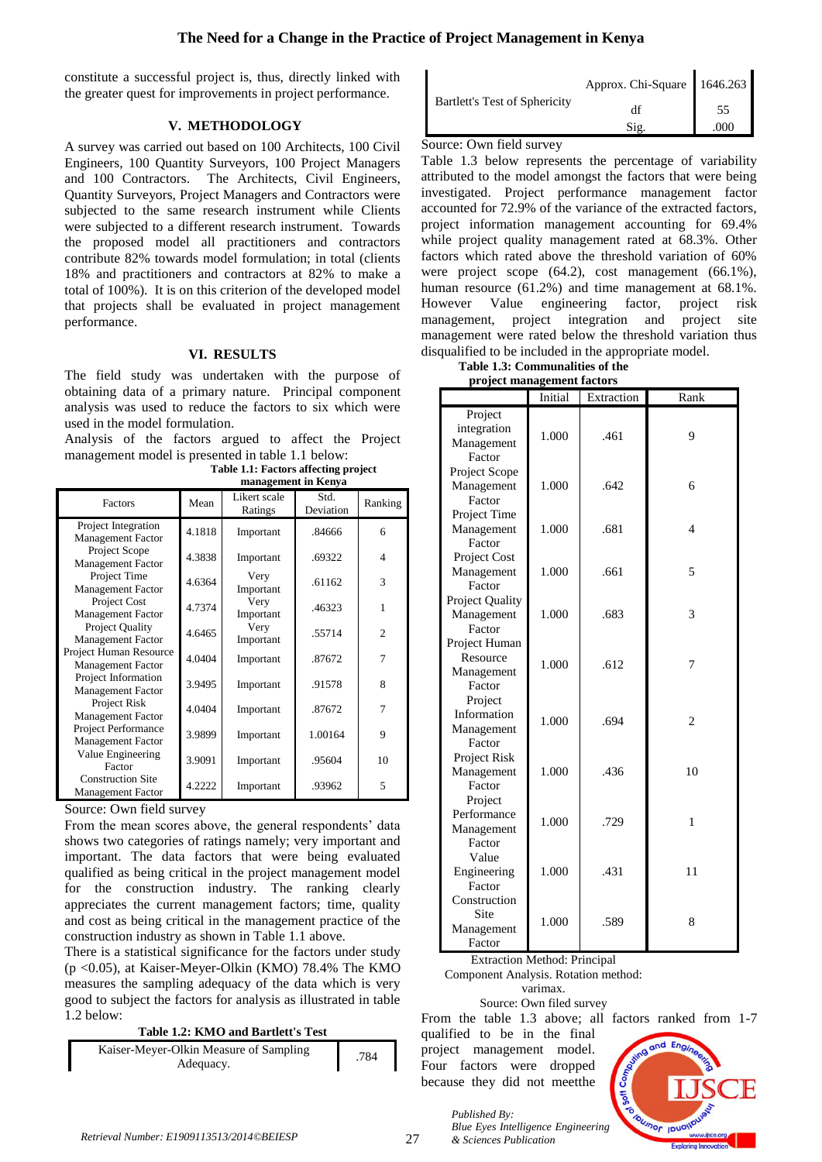constitute a successful project is, thus, directly linked with the greater quest for improvements in project performance.

## **V. METHODOLOGY**

A survey was carried out based on 100 Architects, 100 Civil Engineers, 100 Quantity Surveyors, 100 Project Managers and 100 Contractors. The Architects, Civil Engineers, Quantity Surveyors, Project Managers and Contractors were subjected to the same research instrument while Clients were subjected to a different research instrument. Towards the proposed model all practitioners and contractors contribute 82% towards model formulation; in total (clients 18% and practitioners and contractors at 82% to make a total of 100%). It is on this criterion of the developed model that projects shall be evaluated in project management performance.

## **VI. RESULTS**

The field study was undertaken with the purpose of obtaining data of a primary nature. Principal component analysis was used to reduce the factors to six which were used in the model formulation.

Analysis of the factors argued to affect the Project management model is presented in table 1.1 below:

| Factors                                              | Mean   | Likert scale<br>Ratings | Std.<br>Deviation | Ranking        |
|------------------------------------------------------|--------|-------------------------|-------------------|----------------|
| Project Integration<br>Management Factor             | 4.1818 | Important               | .84666            | 6              |
| Project Scope<br><b>Management Factor</b>            | 4.3838 | Important               | .69322            | $\overline{4}$ |
| Project Time<br><b>Management Factor</b>             | 4.6364 | Very<br>Important       | .61162            | 3              |
| Project Cost<br><b>Management Factor</b>             | 4.7374 | Very<br>Important       | .46323            | 1              |
| Project Quality<br><b>Management Factor</b>          | 4.6465 | Very<br>Important       | .55714            | $\overline{c}$ |
| Project Human Resource<br><b>Management Factor</b>   | 4.0404 | Important               | .87672            | 7              |
| Project Information<br><b>Management Factor</b>      | 3.9495 | Important               | .91578            | 8              |
| Project Risk<br><b>Management Factor</b>             | 4.0404 | Important               | .87672            | 7              |
| Project Performance<br><b>Management Factor</b>      | 3.9899 | Important               | 1.00164           | 9              |
| Value Engineering<br>Factor                          | 3.9091 | Important               | .95604            | 10             |
| <b>Construction Site</b><br><b>Management Factor</b> | 4.2222 | Important               | .93962            | 5              |

**Table 1.1: Factors affecting project management in Kenya**

Source: Own field survey

From the mean scores above, the general respondents' data shows two categories of ratings namely; very important and important. The data factors that were being evaluated qualified as being critical in the project management model for the construction industry. The ranking clearly appreciates the current management factors; time, quality and cost as being critical in the management practice of the construction industry as shown in Table 1.1 above.

There is a statistical significance for the factors under study (p <0.05), at Kaiser-Meyer-Olkin (KMO) 78.4% The KMO measures the sampling adequacy of the data which is very good to subject the factors for analysis as illustrated in table 1.2 below:

**Table 1.2: KMO and Bartlett's Test**

| Adequacy. |
|-----------|
|-----------|

|                               | Approx. Chi-Square 1646.263 |            |
|-------------------------------|-----------------------------|------------|
| Bartlett's Test of Sphericity | Sig                         | 55<br>.000 |
|                               |                             |            |

Source: Own field survey

Table 1.3 below represents the percentage of variability attributed to the model amongst the factors that were being investigated. Project performance management factor accounted for 72.9% of the variance of the extracted factors, project information management accounting for 69.4% while project quality management rated at 68.3%. Other factors which rated above the threshold variation of 60% were project scope (64.2), cost management (66.1%), human resource (61.2%) and time management at 68.1%. However Value engineering factor, project risk management, project integration and project site management were rated below the threshold variation thus disqualified to be included in the appropriate model.

| Table 1.3: Communalities of the |  |
|---------------------------------|--|
| project management factors      |  |

|                                                   | Initial | Extraction | Rank           |
|---------------------------------------------------|---------|------------|----------------|
| Project<br>integration<br>Management<br>Factor    | 1.000   | .461       | 9              |
| Project Scope<br>Management<br>Factor             | 1.000   | .642       | 6              |
| Project Time<br>Management<br>Factor              | 1.000   | .681       | 4              |
| Project Cost<br>Management<br>Factor              | 1.000   | .661       | 5              |
| Project Quality<br>Management<br>Factor           | 1.000   | .683       | 3              |
| Project Human<br>Resource<br>Management<br>Factor | 1.000   | .612       | 7              |
| Project<br>Information<br>Management<br>Factor    | 1.000   | .694       | $\overline{c}$ |
| Project Risk<br>Management<br>Factor              | 1.000   | .436       | 10             |
| Project<br>Performance<br>Management<br>Factor    | 1.000   | .729       | 1              |
| Value<br>Engineering<br>Factor                    | 1.000   | .431       | 11             |
| Construction<br>Site<br>Management<br>Factor      | 1.000   | .589       | 8              |

Extraction Method: Principal

Component Analysis. Rotation method:

#### varimax. Source: Own filed survey

From the table 1.3 above; all factors ranked from 1-7 qualified to be in the final project management model. Four factors were dropped because they did not meetthe



*Published By: Blue Eyes Intelligence Engineering & Sciences Publication*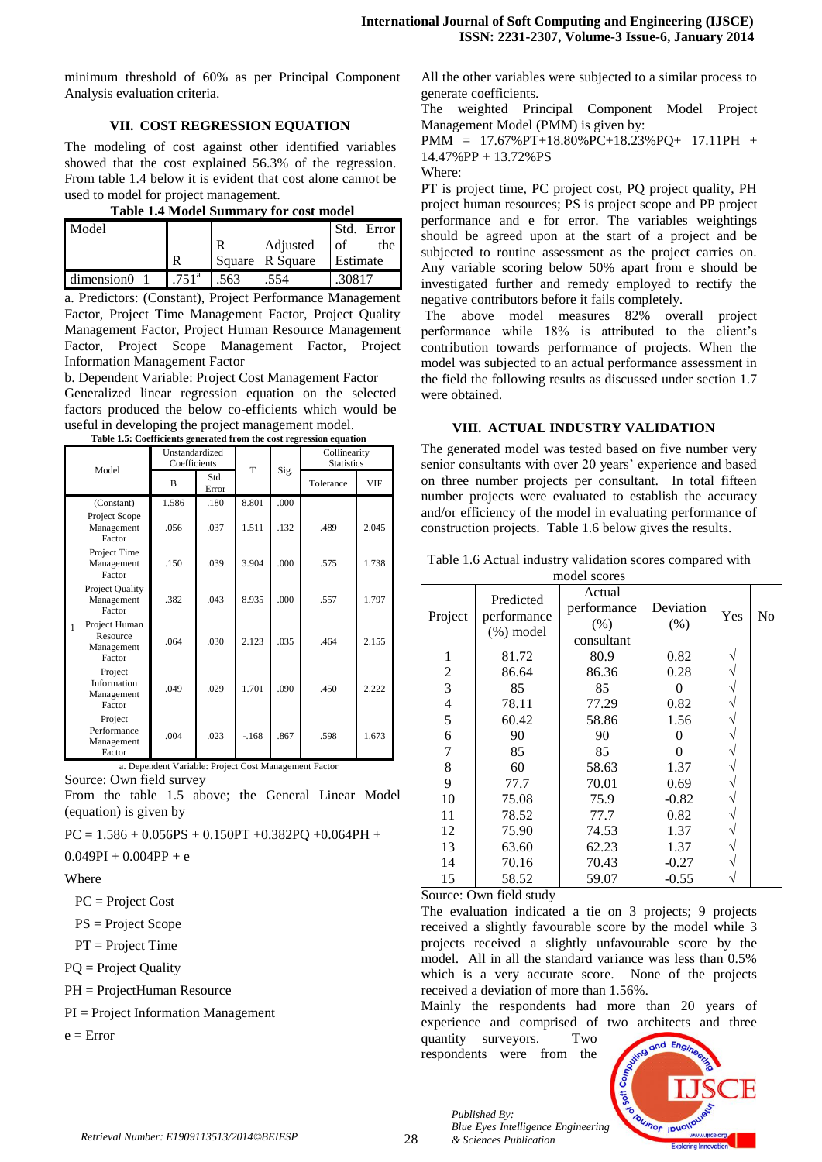minimum threshold of 60% as per Principal Component Analysis evaluation criteria.

## **VII. COST REGRESSION EQUATION**

The modeling of cost against other identified variables showed that the cost explained 56.3% of the regression. From table 1.4 below it is evident that cost alone cannot be used to model for project management.

| <b>Table 1.4 Model Summary for cost model</b> |  |  |  |
|-----------------------------------------------|--|--|--|
|                                               |  |  |  |
|                                               |  |  |  |

| Model      |                |      |                 | Error<br>-Std |
|------------|----------------|------|-----------------|---------------|
|            |                | R    | Adjusted        | of<br>the     |
|            | R              |      | Square R Square | Estimate      |
| dimension0 | $.751^{\circ}$ | .563 | 554             |               |

a. Predictors: (Constant), Project Performance Management Factor, Project Time Management Factor, Project Quality Management Factor, Project Human Resource Management Factor, Project Scope Management Factor, Project Information Management Factor

b. Dependent Variable: Project Cost Management Factor Generalized linear regression equation on the selected factors produced the below co-efficients which would be useful in developing the project management model. **Table 1.5: Coefficients generated from the cost regression equation**

| Model |                                                   | Unstandardized<br>Coefficients |               |           |      | Collinearity<br><b>Statistics</b> |            |
|-------|---------------------------------------------------|--------------------------------|---------------|-----------|------|-----------------------------------|------------|
|       |                                                   | $\mathbf{B}$                   | Std.<br>Error | T<br>Sig. |      | Tolerance                         | <b>VIF</b> |
|       | (Constant)                                        | 1.586                          | .180          | 8.801     | .000 |                                   |            |
|       | Project Scope<br>Management<br>Factor             | .056                           | .037          | 1.511     | .132 | .489                              | 2.045      |
|       | Project Time<br>Management<br>Factor              | .150                           | .039          | 3.904     | .000 | .575                              | 1.738      |
|       | Project Quality<br>Management<br>Factor           | .382                           | .043          | 8.935     | .000 | .557                              | 1.797      |
|       | Project Human<br>Resource<br>Management<br>Factor | .064                           | .030          | 2.123     | .035 | .464                              | 2.155      |
|       | Project<br>Information<br>Management<br>Factor    | .049                           | .029          | 1.701     | .090 | .450                              | 2.222      |
|       | Project<br>Performance<br>Management<br>Factor    | .004                           | .023          | $-168$    | .867 | .598                              | 1.673      |

a. Dependent Variable: Project Cost Management Factor

Source: Own field survey

From the table 1.5 above; the General Linear Model (equation) is given by

 $PC = 1.586 + 0.056PS + 0.150PT + 0.382PQ + 0.064PH +$ 

 $0.049PI + 0.004PP + e$ 

#### Where

PC = Project Cost

PS = Project Scope

- PT = Project Time
- PQ = Project Quality

PH = ProjectHuman Resource

PI = Project Information Management

 $e =$  Error

All the other variables were subjected to a similar process to generate coefficients.

The weighted Principal Component Model Project Management Model (PMM) is given by:

PMM = 17.67%PT+18.80%PC+18.23%PQ+ 17.11PH + 14.47%PP + 13.72%PS

Where:

PT is project time, PC project cost, PQ project quality, PH project human resources; PS is project scope and PP project performance and e for error. The variables weightings should be agreed upon at the start of a project and be subjected to routine assessment as the project carries on. Any variable scoring below 50% apart from e should be investigated further and remedy employed to rectify the negative contributors before it fails completely.

The above model measures 82% overall project performance while 18% is attributed to the client's contribution towards performance of projects. When the model was subjected to an actual performance assessment in the field the following results as discussed under section 1.7 were obtained.

#### **VIII. ACTUAL INDUSTRY VALIDATION**

The generated model was tested based on five number very senior consultants with over 20 years' experience and based on three number projects per consultant. In total fifteen number projects were evaluated to establish the accuracy and/or efficiency of the model in evaluating performance of construction projects. Table 1.6 below gives the results.

|                          |                                          | model scores                                |                   |     |    |
|--------------------------|------------------------------------------|---------------------------------------------|-------------------|-----|----|
| Project                  | Predicted<br>performance<br>$(\%)$ model | Actual<br>performance<br>(% )<br>consultant | Deviation<br>(% ) | Yes | No |
| 1                        | 81.72                                    | 80.9                                        | 0.82              | ٦   |    |
| $\overline{c}$           | 86.64                                    | 86.36                                       | 0.28              |     |    |
| 3                        | 85                                       | 85                                          | 0                 |     |    |
| $\overline{\mathcal{L}}$ | 78.11                                    | 77.29                                       | 0.82              |     |    |
| 5                        | 60.42                                    | 58.86                                       | 1.56              |     |    |
| 6                        | 90                                       | 90                                          | $\Omega$          |     |    |
| 7                        | 85                                       | 85                                          | $\theta$          |     |    |
| 8                        | 60                                       | 58.63                                       | 1.37              |     |    |
| 9                        | 77.7                                     | 70.01                                       | 0.69              | ٦   |    |
| 10                       | 75.08                                    | 75.9                                        | $-0.82$           |     |    |
| 11                       | 78.52                                    | 77.7                                        | 0.82              |     |    |
| 12                       | 75.90                                    | 74.53                                       | 1.37              |     |    |
| 13                       | 63.60                                    | 62.23                                       | 1.37              |     |    |
| 14                       | 70.16                                    | 70.43                                       | $-0.27$           |     |    |
| 15                       | 58.52                                    | 59.07                                       | $-0.55$           |     |    |

Source: Own field study

The evaluation indicated a tie on 3 projects; 9 projects received a slightly favourable score by the model while 3 projects received a slightly unfavourable score by the model. All in all the standard variance was less than 0.5% which is a very accurate score. None of the projects received a deviation of more than 1.56%.

Mainly the respondents had more than 20 years of experience and comprised of two architects and three

quantity surveyors. Two respondents were from the



*Published By: Blue Eyes Intelligence Engineering & Sciences Publication*